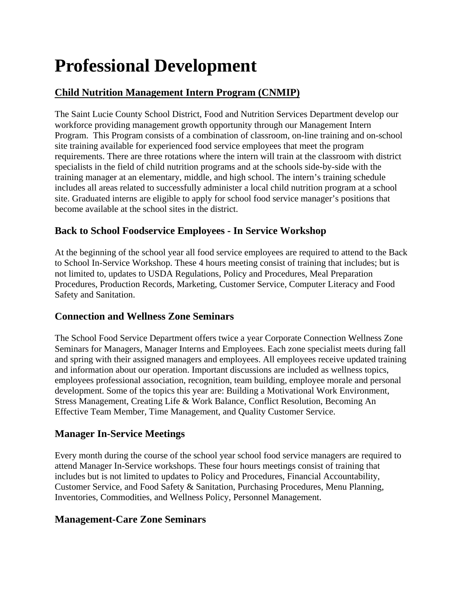# **Professional Development**

# **Child Nutrition Management Intern Program (CNMIP)**

The Saint Lucie County School District, Food and Nutrition Services Department develop our workforce providing management growth opportunity through our Management Intern Program. This Program consists of a combination of classroom, on-line training and on-school site training available for experienced food service employees that meet the program requirements. There are three rotations where the intern will train at the classroom with district specialists in the field of child nutrition programs and at the schools side-by-side with the training manager at an elementary, middle, and high school. The intern's training schedule includes all areas related to successfully administer a local child nutrition program at a school site. Graduated interns are eligible to apply for school food service manager's positions that become available at the school sites in the district.

## **Back to School Foodservice Employees - In Service Workshop**

At the beginning of the school year all food service employees are required to attend to the Back to School In-Service Workshop. These 4 hours meeting consist of training that includes; but is not limited to, updates to USDA Regulations, Policy and Procedures, Meal Preparation Procedures, Production Records, Marketing, Customer Service, Computer Literacy and Food Safety and Sanitation.

## **Connection and Wellness Zone Seminars**

The School Food Service Department offers twice a year Corporate Connection Wellness Zone Seminars for Managers, Manager Interns and Employees. Each zone specialist meets during fall and spring with their assigned managers and employees. All employees receive updated training and information about our operation. Important discussions are included as wellness topics, employees professional association, recognition, team building, employee morale and personal development. Some of the topics this year are: Building a Motivational Work Environment, Stress Management, Creating Life & Work Balance, Conflict Resolution, Becoming An Effective Team Member, Time Management, and Quality Customer Service.

## **Manager In-Service Meetings**

Every month during the course of the school year school food service managers are required to attend Manager In-Service workshops. These four hours meetings consist of training that includes but is not limited to updates to Policy and Procedures, Financial Accountability, Customer Service, and Food Safety & Sanitation, Purchasing Procedures, Menu Planning, Inventories, Commodities, and Wellness Policy, Personnel Management.

## **Management-Care Zone Seminars**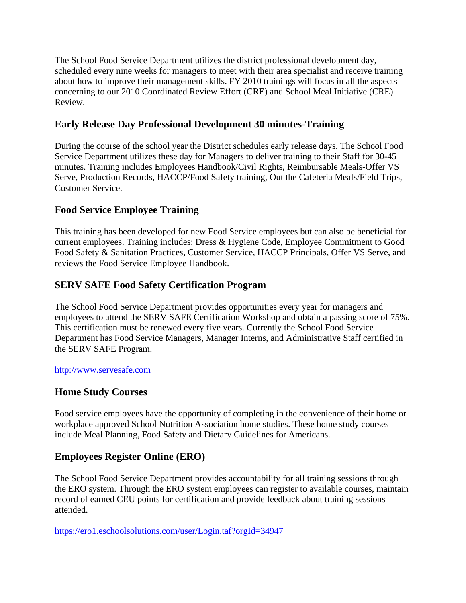The School Food Service Department utilizes the district professional development day, scheduled every nine weeks for managers to meet with their area specialist and receive training about how to improve their management skills. FY 2010 trainings will focus in all the aspects concerning to our 2010 Coordinated Review Effort (CRE) and School Meal Initiative (CRE) Review.

## **Early Release Day Professional Development 30 minutes-Training**

During the course of the school year the District schedules early release days. The School Food Service Department utilizes these day for Managers to deliver training to their Staff for 30-45 minutes. Training includes Employees Handbook/Civil Rights, Reimbursable Meals-Offer VS Serve, Production Records, HACCP/Food Safety training, Out the Cafeteria Meals/Field Trips, Customer Service.

## **Food Service Employee Training**

This training has been developed for new Food Service employees but can also be beneficial for current employees. Training includes: Dress & Hygiene Code, Employee Commitment to Good Food Safety & Sanitation Practices, Customer Service, HACCP Principals, Offer VS Serve, and reviews the Food Service Employee Handbook.

## **SERV SAFE Food Safety Certification Program**

The School Food Service Department provides opportunities every year for managers and employees to attend the SERV SAFE Certification Workshop and obtain a passing score of 75%. This certification must be renewed every five years. Currently the School Food Service Department has Food Service Managers, Manager Interns, and Administrative Staff certified in the SERV SAFE Program.

#### http://www.servesafe.com

## **Home Study Courses**

Food service employees have the opportunity of completing in the convenience of their home or workplace approved School Nutrition Association home studies. These home study courses include Meal Planning, Food Safety and Dietary Guidelines for Americans.

## **Employees Register Online (ERO)**

The School Food Service Department provides accountability for all training sessions through the ERO system. Through the ERO system employees can register to available courses, maintain record of earned CEU points for certification and provide feedback about training sessions attended.

https://ero1.eschoolsolutions.com/user/Login.taf?orgId=34947